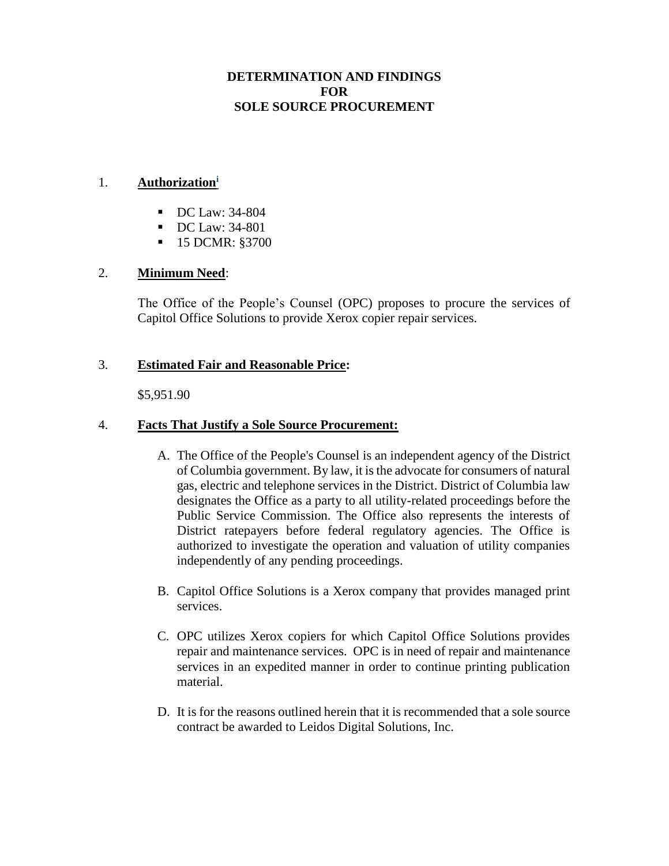# **DETERMINATION AND FINDINGS FOR SOLE SOURCE PROCUREMENT**

#### 1. **Authorization<sup>i</sup>**

- DC Law: 34-804
- DC Law: 34-801
- 15 DCMR: §3700

## 2. **Minimum Need**:

The Office of the People's Counsel (OPC) proposes to procure the services of Capitol Office Solutions to provide Xerox copier repair services.

## 3. **Estimated Fair and Reasonable Price:**

\$5,951.90

## 4. **Facts That Justify a Sole Source Procurement:**

- A. The Office of the People's Counsel is an independent agency of the District of Columbia government. By law, it is the advocate for consumers of natural gas, electric and telephone services in the District. District of Columbia law designates the Office as a party to all utility-related proceedings before the Public Service Commission. The Office also represents the interests of District ratepayers before federal regulatory agencies. The Office is authorized to investigate the operation and valuation of utility companies independently of any pending proceedings.
- B. Capitol Office Solutions is a Xerox company that provides managed print services.
- C. OPC utilizes Xerox copiers for which Capitol Office Solutions provides repair and maintenance services. OPC is in need of repair and maintenance services in an expedited manner in order to continue printing publication material.
- D. It is for the reasons outlined herein that it is recommended that a sole source contract be awarded to Leidos Digital Solutions, Inc.